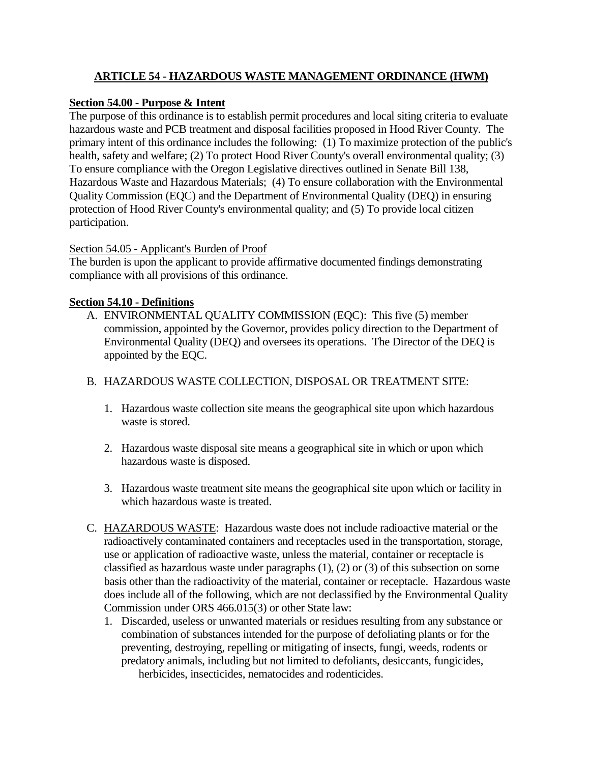# **ARTICLE 54 - HAZARDOUS WASTE MANAGEMENT ORDINANCE (HWM)**

### **Section 54.00 - Purpose & Intent**

The purpose of this ordinance is to establish permit procedures and local siting criteria to evaluate hazardous waste and PCB treatment and disposal facilities proposed in Hood River County. The primary intent of this ordinance includes the following: (1) To maximize protection of the public's health, safety and welfare; (2) To protect Hood River County's overall environmental quality; (3) To ensure compliance with the Oregon Legislative directives outlined in Senate Bill 138, Hazardous Waste and Hazardous Materials; (4) To ensure collaboration with the Environmental Quality Commission (EQC) and the Department of Environmental Quality (DEQ) in ensuring protection of Hood River County's environmental quality; and (5) To provide local citizen participation.

#### Section 54.05 - Applicant's Burden of Proof

The burden is upon the applicant to provide affirmative documented findings demonstrating compliance with all provisions of this ordinance.

#### **Section 54.10 - Definitions**

A. ENVIRONMENTAL QUALITY COMMISSION (EQC): This five (5) member commission, appointed by the Governor, provides policy direction to the Department of Environmental Quality (DEQ) and oversees its operations. The Director of the DEQ is appointed by the EQC.

### B. HAZARDOUS WASTE COLLECTION, DISPOSAL OR TREATMENT SITE:

- 1. Hazardous waste collection site means the geographical site upon which hazardous waste is stored.
- 2. Hazardous waste disposal site means a geographical site in which or upon which hazardous waste is disposed.
- 3. Hazardous waste treatment site means the geographical site upon which or facility in which hazardous waste is treated.
- C. HAZARDOUS WASTE: Hazardous waste does not include radioactive material or the radioactively contaminated containers and receptacles used in the transportation, storage, use or application of radioactive waste, unless the material, container or receptacle is classified as hazardous waste under paragraphs (1), (2) or (3) of this subsection on some basis other than the radioactivity of the material, container or receptacle. Hazardous waste does include all of the following, which are not declassified by the Environmental Quality Commission under ORS 466.015(3) or other State law:
	- 1. Discarded, useless or unwanted materials or residues resulting from any substance or combination of substances intended for the purpose of defoliating plants or for the preventing, destroying, repelling or mitigating of insects, fungi, weeds, rodents or predatory animals, including but not limited to defoliants, desiccants, fungicides, herbicides, insecticides, nematocides and rodenticides.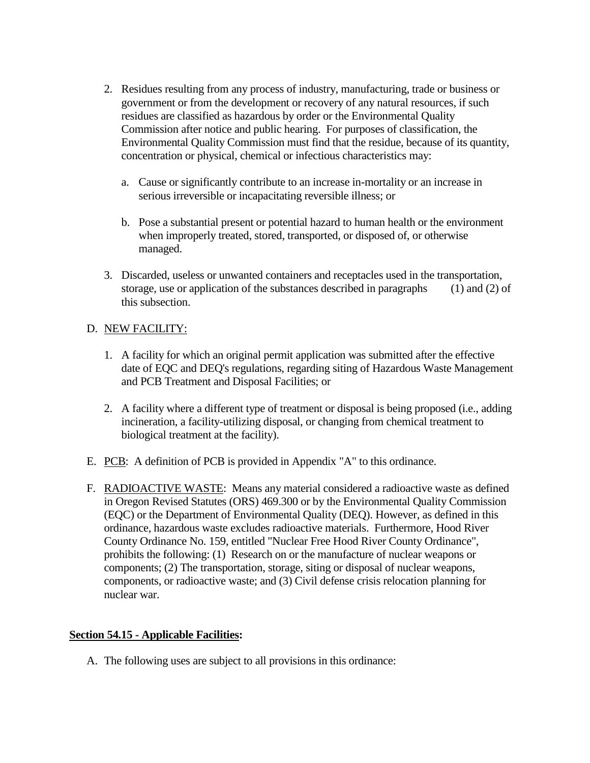- 2. Residues resulting from any process of industry, manufacturing, trade or business or government or from the development or recovery of any natural resources, if such residues are classified as hazardous by order or the Environmental Quality Commission after notice and public hearing. For purposes of classification, the Environmental Quality Commission must find that the residue, because of its quantity, concentration or physical, chemical or infectious characteristics may:
	- a. Cause or significantly contribute to an increase in-mortality or an increase in serious irreversible or incapacitating reversible illness; or
	- b. Pose a substantial present or potential hazard to human health or the environment when improperly treated, stored, transported, or disposed of, or otherwise managed.
- 3. Discarded, useless or unwanted containers and receptacles used in the transportation, storage, use or application of the substances described in paragraphs (1) and (2) of this subsection.

# D. NEW FACILITY:

- 1. A facility for which an original permit application was submitted after the effective date of EQC and DEQ's regulations, regarding siting of Hazardous Waste Management and PCB Treatment and Disposal Facilities; or
- 2. A facility where a different type of treatment or disposal is being proposed (i.e., adding incineration, a facility-utilizing disposal, or changing from chemical treatment to biological treatment at the facility).
- E. PCB: A definition of PCB is provided in Appendix "A" to this ordinance.
- F. RADIOACTIVE WASTE: Means any material considered a radioactive waste as defined in Oregon Revised Statutes (ORS) 469.300 or by the Environmental Quality Commission (EQC) or the Department of Environmental Quality (DEQ). However, as defined in this ordinance, hazardous waste excludes radioactive materials. Furthermore, Hood River County Ordinance No. 159, entitled "Nuclear Free Hood River County Ordinance", prohibits the following: (1) Research on or the manufacture of nuclear weapons or components; (2) The transportation, storage, siting or disposal of nuclear weapons, components, or radioactive waste; and (3) Civil defense crisis relocation planning for nuclear war.

## **Section 54.15 - Applicable Facilities:**

A. The following uses are subject to all provisions in this ordinance: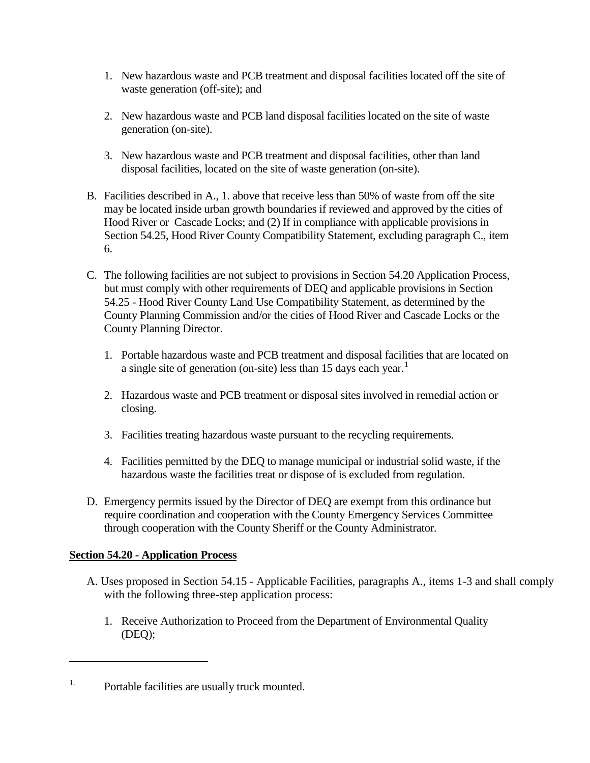- 1. New hazardous waste and PCB treatment and disposal facilities located off the site of waste generation (off-site); and
- 2. New hazardous waste and PCB land disposal facilities located on the site of waste generation (on-site).
- 3. New hazardous waste and PCB treatment and disposal facilities, other than land disposal facilities, located on the site of waste generation (on-site).
- B. Facilities described in A., 1. above that receive less than 50% of waste from off the site may be located inside urban growth boundaries if reviewed and approved by the cities of Hood River or Cascade Locks; and (2) If in compliance with applicable provisions in Section 54.25, Hood River County Compatibility Statement, excluding paragraph C., item 6.
- C. The following facilities are not subject to provisions in Section 54.20 Application Process, but must comply with other requirements of DEQ and applicable provisions in Section 54.25 - Hood River County Land Use Compatibility Statement, as determined by the County Planning Commission and/or the cities of Hood River and Cascade Locks or the County Planning Director.
	- 1. Portable hazardous waste and PCB treatment and disposal facilities that are located on a single site of generation (on-site) less than [1](#page-2-0)5 days each year.<sup>1</sup>
	- 2. Hazardous waste and PCB treatment or disposal sites involved in remedial action or closing.
	- 3. Facilities treating hazardous waste pursuant to the recycling requirements.
	- 4. Facilities permitted by the DEQ to manage municipal or industrial solid waste, if the hazardous waste the facilities treat or dispose of is excluded from regulation.
- D. Emergency permits issued by the Director of DEQ are exempt from this ordinance but require coordination and cooperation with the County Emergency Services Committee through cooperation with the County Sheriff or the County Administrator.

## **Section 54.20 - Application Process**

- A. Uses proposed in Section 54.15 Applicable Facilities, paragraphs A., items 1-3 and shall comply with the following three-step application process:
	- 1. Receive Authorization to Proceed from the Department of Environmental Quality (DEQ);

<span id="page-2-0"></span><sup>&</sup>lt;sup>1.</sup> Portable facilities are usually truck mounted.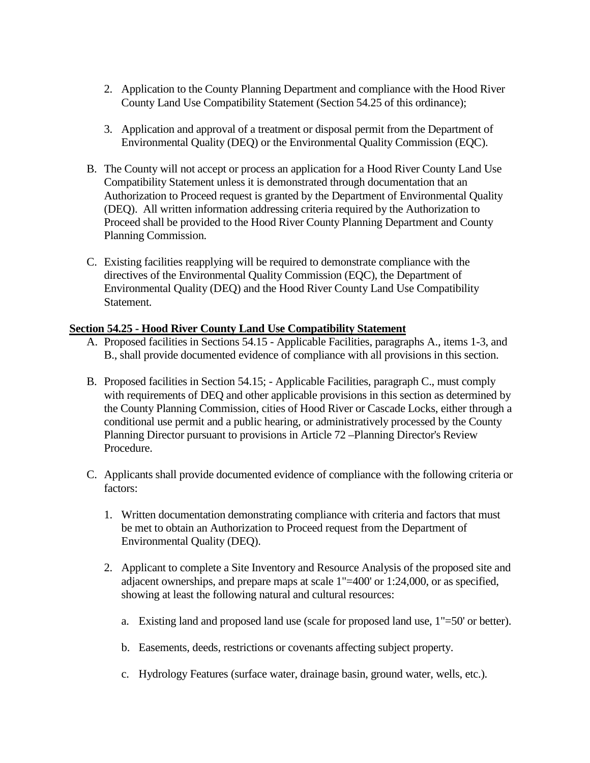- 2. Application to the County Planning Department and compliance with the Hood River County Land Use Compatibility Statement (Section 54.25 of this ordinance);
- 3. Application and approval of a treatment or disposal permit from the Department of Environmental Quality (DEQ) or the Environmental Quality Commission (EQC).
- B. The County will not accept or process an application for a Hood River County Land Use Compatibility Statement unless it is demonstrated through documentation that an Authorization to Proceed request is granted by the Department of Environmental Quality (DEQ). All written information addressing criteria required by the Authorization to Proceed shall be provided to the Hood River County Planning Department and County Planning Commission.
- C. Existing facilities reapplying will be required to demonstrate compliance with the directives of the Environmental Quality Commission (EQC), the Department of Environmental Quality (DEQ) and the Hood River County Land Use Compatibility Statement.

#### **Section 54.25 - Hood River County Land Use Compatibility Statement**

- A. Proposed facilities in Sections 54.15 Applicable Facilities, paragraphs A., items 1-3, and B., shall provide documented evidence of compliance with all provisions in this section.
- B. Proposed facilities in Section 54.15; Applicable Facilities, paragraph C., must comply with requirements of DEQ and other applicable provisions in this section as determined by the County Planning Commission, cities of Hood River or Cascade Locks, either through a conditional use permit and a public hearing, or administratively processed by the County Planning Director pursuant to provisions in Article 72 –Planning Director's Review Procedure.
- C. Applicants shall provide documented evidence of compliance with the following criteria or factors:
	- 1. Written documentation demonstrating compliance with criteria and factors that must be met to obtain an Authorization to Proceed request from the Department of Environmental Quality (DEQ).
	- 2. Applicant to complete a Site Inventory and Resource Analysis of the proposed site and adjacent ownerships, and prepare maps at scale 1"=400' or 1:24,000, or as specified, showing at least the following natural and cultural resources:
		- a. Existing land and proposed land use (scale for proposed land use, 1"=50' or better).
		- b. Easements, deeds, restrictions or covenants affecting subject property.
		- c. Hydrology Features (surface water, drainage basin, ground water, wells, etc.).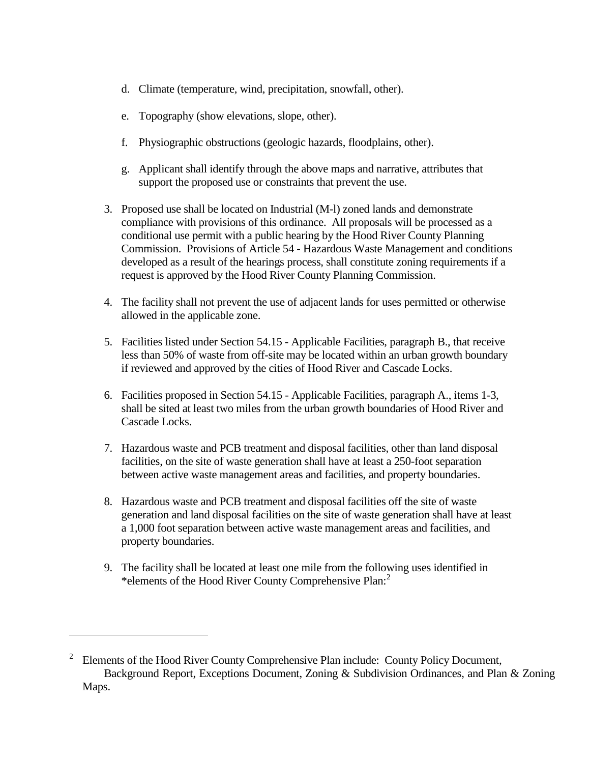- d. Climate (temperature, wind, precipitation, snowfall, other).
- e. Topography (show elevations, slope, other).
- f. Physiographic obstructions (geologic hazards, floodplains, other).
- g. Applicant shall identify through the above maps and narrative, attributes that support the proposed use or constraints that prevent the use.
- 3. Proposed use shall be located on Industrial (M-l) zoned lands and demonstrate compliance with provisions of this ordinance. All proposals will be processed as a conditional use permit with a public hearing by the Hood River County Planning Commission. Provisions of Article 54 - Hazardous Waste Management and conditions developed as a result of the hearings process, shall constitute zoning requirements if a request is approved by the Hood River County Planning Commission.
- 4. The facility shall not prevent the use of adjacent lands for uses permitted or otherwise allowed in the applicable zone.
- 5. Facilities listed under Section 54.15 Applicable Facilities, paragraph B., that receive less than 50% of waste from off-site may be located within an urban growth boundary if reviewed and approved by the cities of Hood River and Cascade Locks.
- 6. Facilities proposed in Section 54.15 Applicable Facilities, paragraph A., items 1-3, shall be sited at least two miles from the urban growth boundaries of Hood River and Cascade Locks.
- 7. Hazardous waste and PCB treatment and disposal facilities, other than land disposal facilities, on the site of waste generation shall have at least a 250-foot separation between active waste management areas and facilities, and property boundaries.
- 8. Hazardous waste and PCB treatment and disposal facilities off the site of waste generation and land disposal facilities on the site of waste generation shall have at least a 1,000 foot separation between active waste management areas and facilities, and property boundaries.
- 9. The facility shall be located at least one mile from the following uses identified in \*elements of the Hood River County Comprehensive Plan:<sup>[2](#page-4-0)</sup>

<span id="page-4-0"></span><sup>2</sup> Elements of the Hood River County Comprehensive Plan include: County Policy Document, Background Report, Exceptions Document, Zoning & Subdivision Ordinances, and Plan & Zoning Maps.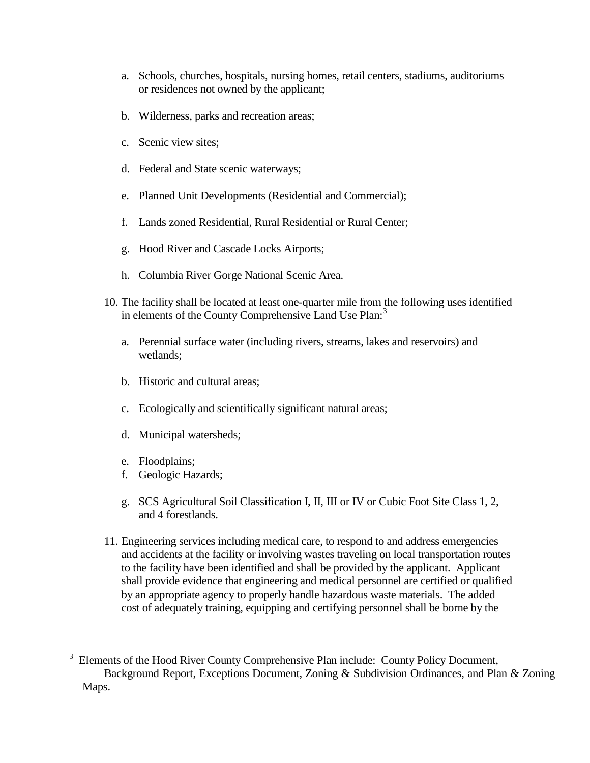- a. Schools, churches, hospitals, nursing homes, retail centers, stadiums, auditoriums or residences not owned by the applicant;
- b. Wilderness, parks and recreation areas;
- c. Scenic view sites;
- d. Federal and State scenic waterways;
- e. Planned Unit Developments (Residential and Commercial);
- f. Lands zoned Residential, Rural Residential or Rural Center;
- g. Hood River and Cascade Locks Airports;
- h. Columbia River Gorge National Scenic Area.
- 10. The facility shall be located at least one-quarter mile from the following uses identified in elements of the County Comprehensive Land Use Plan:<sup>[3](#page-5-0)</sup>
	- a. Perennial surface water (including rivers, streams, lakes and reservoirs) and wetlands;
	- b. Historic and cultural areas;
	- c. Ecologically and scientifically significant natural areas;
	- d. Municipal watersheds;
	- e. Floodplains;

- f. Geologic Hazards;
- g. SCS Agricultural Soil Classification I, II, III or IV or Cubic Foot Site Class 1, 2, and 4 forestlands.
- 11. Engineering services including medical care, to respond to and address emergencies and accidents at the facility or involving wastes traveling on local transportation routes to the facility have been identified and shall be provided by the applicant. Applicant shall provide evidence that engineering and medical personnel are certified or qualified by an appropriate agency to properly handle hazardous waste materials. The added cost of adequately training, equipping and certifying personnel shall be borne by the

<span id="page-5-0"></span><sup>&</sup>lt;sup>3</sup> Elements of the Hood River County Comprehensive Plan include: County Policy Document, Background Report, Exceptions Document, Zoning & Subdivision Ordinances, and Plan & Zoning Maps.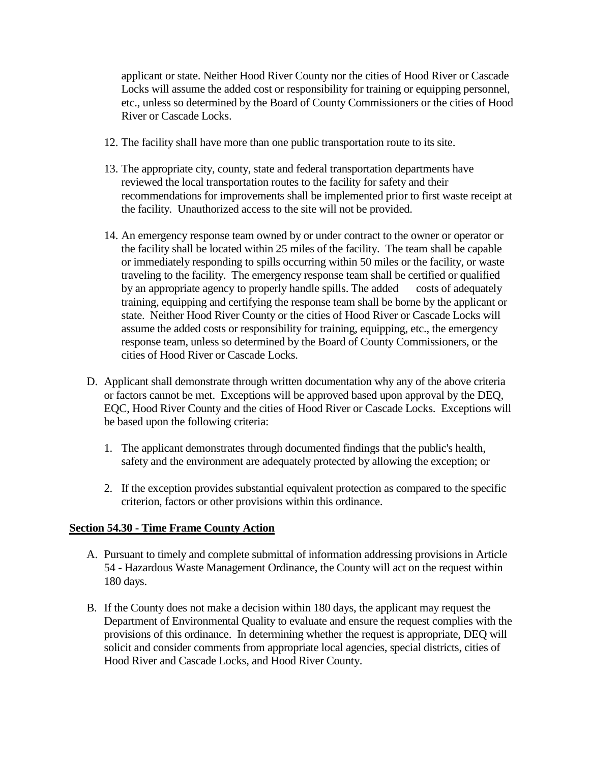applicant or state. Neither Hood River County nor the cities of Hood River or Cascade Locks will assume the added cost or responsibility for training or equipping personnel, etc., unless so determined by the Board of County Commissioners or the cities of Hood River or Cascade Locks.

- 12. The facility shall have more than one public transportation route to its site.
- 13. The appropriate city, county, state and federal transportation departments have reviewed the local transportation routes to the facility for safety and their recommendations for improvements shall be implemented prior to first waste receipt at the facility. Unauthorized access to the site will not be provided.
- 14. An emergency response team owned by or under contract to the owner or operator or the facility shall be located within 25 miles of the facility. The team shall be capable or immediately responding to spills occurring within 50 miles or the facility, or waste traveling to the facility. The emergency response team shall be certified or qualified by an appropriate agency to properly handle spills. The added costs of adequately training, equipping and certifying the response team shall be borne by the applicant or state. Neither Hood River County or the cities of Hood River or Cascade Locks will assume the added costs or responsibility for training, equipping, etc., the emergency response team, unless so determined by the Board of County Commissioners, or the cities of Hood River or Cascade Locks.
- D. Applicant shall demonstrate through written documentation why any of the above criteria or factors cannot be met. Exceptions will be approved based upon approval by the DEQ, EQC, Hood River County and the cities of Hood River or Cascade Locks. Exceptions will be based upon the following criteria:
	- 1. The applicant demonstrates through documented findings that the public's health, safety and the environment are adequately protected by allowing the exception; or
	- 2. If the exception provides substantial equivalent protection as compared to the specific criterion, factors or other provisions within this ordinance.

## **Section 54.30 - Time Frame County Action**

- A. Pursuant to timely and complete submittal of information addressing provisions in Article 54 - Hazardous Waste Management Ordinance, the County will act on the request within 180 days.
- B. If the County does not make a decision within 180 days, the applicant may request the Department of Environmental Quality to evaluate and ensure the request complies with the provisions of this ordinance. In determining whether the request is appropriate, DEQ will solicit and consider comments from appropriate local agencies, special districts, cities of Hood River and Cascade Locks, and Hood River County.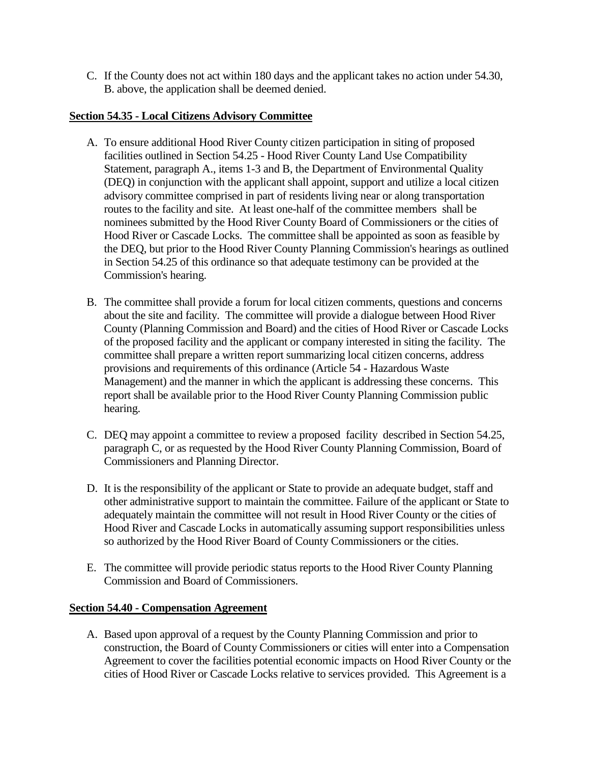C. If the County does not act within 180 days and the applicant takes no action under 54.30, B. above, the application shall be deemed denied.

## **Section 54.35 - Local Citizens Advisory Committee**

- A. To ensure additional Hood River County citizen participation in siting of proposed facilities outlined in Section 54.25 - Hood River County Land Use Compatibility Statement, paragraph A., items 1-3 and B, the Department of Environmental Quality (DEQ) in conjunction with the applicant shall appoint, support and utilize a local citizen advisory committee comprised in part of residents living near or along transportation routes to the facility and site. At least one-half of the committee members shall be nominees submitted by the Hood River County Board of Commissioners or the cities of Hood River or Cascade Locks. The committee shall be appointed as soon as feasible by the DEQ, but prior to the Hood River County Planning Commission's hearings as outlined in Section 54.25 of this ordinance so that adequate testimony can be provided at the Commission's hearing.
- B. The committee shall provide a forum for local citizen comments, questions and concerns about the site and facility. The committee will provide a dialogue between Hood River County (Planning Commission and Board) and the cities of Hood River or Cascade Locks of the proposed facility and the applicant or company interested in siting the facility. The committee shall prepare a written report summarizing local citizen concerns, address provisions and requirements of this ordinance (Article 54 - Hazardous Waste Management) and the manner in which the applicant is addressing these concerns. This report shall be available prior to the Hood River County Planning Commission public hearing.
- C. DEQ may appoint a committee to review a proposed facility described in Section 54.25, paragraph C, or as requested by the Hood River County Planning Commission, Board of Commissioners and Planning Director.
- D. It is the responsibility of the applicant or State to provide an adequate budget, staff and other administrative support to maintain the committee. Failure of the applicant or State to adequately maintain the committee will not result in Hood River County or the cities of Hood River and Cascade Locks in automatically assuming support responsibilities unless so authorized by the Hood River Board of County Commissioners or the cities.
- E. The committee will provide periodic status reports to the Hood River County Planning Commission and Board of Commissioners.

#### **Section 54.40 - Compensation Agreement**

A. Based upon approval of a request by the County Planning Commission and prior to construction, the Board of County Commissioners or cities will enter into a Compensation Agreement to cover the facilities potential economic impacts on Hood River County or the cities of Hood River or Cascade Locks relative to services provided. This Agreement is a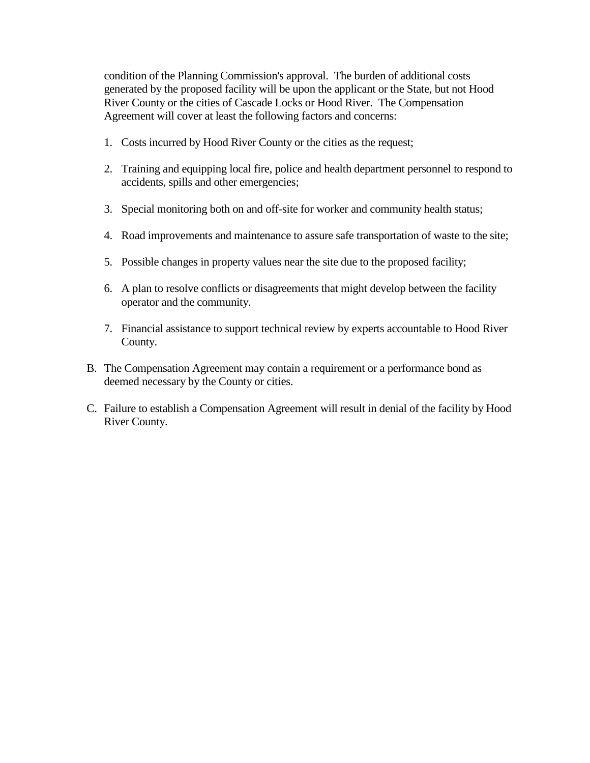condition of the Planning Commission's approval. The burden of additional costs generated by the proposed facility will be upon the applicant or the State, but not Hood River County or the cities of Cascade Locks or Hood River. The Compensation Agreement will cover at least the following factors and concerns:

- 1. Costs incurred by Hood River County or the cities as the request;
- 2. Training and equipping local fire, police and health department personnel to respond to accidents, spills and other emergencies;
- 3. Special monitoring both on and off-site for worker and community health status;
- 4. Road improvements and maintenance to assure safe transportation of waste to the site;
- 5. Possible changes in property values near the site due to the proposed facility;
- 6. A plan to resolve conflicts or disagreements that might develop between the facility operator and the community.
- 7. Financial assistance to support technical review by experts accountable to Hood River County.
- B. The Compensation Agreement may contain a requirement or a performance bond as deemed necessary by the County or cities.
- C. Failure to establish a Compensation Agreement will result in denial of the facility by Hood River County.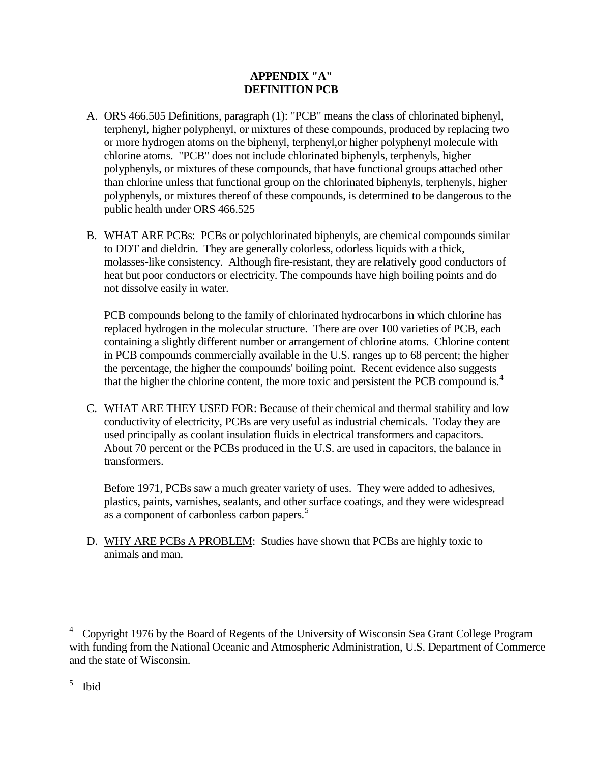#### **APPENDIX "A" DEFINITION PCB**

- A. ORS 466.505 Definitions, paragraph (1): "PCB" means the class of chlorinated biphenyl, terphenyl, higher polyphenyl, or mixtures of these compounds, produced by replacing two or more hydrogen atoms on the biphenyl, terphenyl,or higher polyphenyl molecule with chlorine atoms. "PCB" does not include chlorinated biphenyls, terphenyls, higher polyphenyls, or mixtures of these compounds, that have functional groups attached other than chlorine unless that functional group on the chlorinated biphenyls, terphenyls, higher polyphenyls, or mixtures thereof of these compounds, is determined to be dangerous to the public health under ORS 466.525
- B. WHAT ARE PCBs: PCBs or polychlorinated biphenyls, are chemical compounds similar to DDT and dieldrin. They are generally colorless, odorless liquids with a thick, molasses-like consistency. Although fire-resistant, they are relatively good conductors of heat but poor conductors or electricity. The compounds have high boiling points and do not dissolve easily in water.

PCB compounds belong to the family of chlorinated hydrocarbons in which chlorine has replaced hydrogen in the molecular structure. There are over 100 varieties of PCB, each containing a slightly different number or arrangement of chlorine atoms. Chlorine content in PCB compounds commercially available in the U.S. ranges up to 68 percent; the higher the percentage, the higher the compounds' boiling point. Recent evidence also suggests that the higher the chlorine content, the more toxic and persistent the PCB compound is.<sup>[4](#page-9-0)</sup>

C. WHAT ARE THEY USED FOR: Because of their chemical and thermal stability and low conductivity of electricity, PCBs are very useful as industrial chemicals. Today they are used principally as coolant insulation fluids in electrical transformers and capacitors. About 70 percent or the PCBs produced in the U.S. are used in capacitors, the balance in transformers.

Before 1971, PCBs saw a much greater variety of uses. They were added to adhesives, plastics, paints, varnishes, sealants, and other surface coatings, and they were widespread as a component of carbonless carbon papers.<sup>[5](#page-9-1)</sup>

D. WHY ARE PCBs A PROBLEM: Studies have shown that PCBs are highly toxic to animals and man.

<span id="page-9-0"></span><sup>&</sup>lt;sup>4</sup> Copyright 1976 by the Board of Regents of the University of Wisconsin Sea Grant College Program with funding from the National Oceanic and Atmospheric Administration, U.S. Department of Commerce and the state of Wisconsin.

<span id="page-9-1"></span><sup>5</sup> Ibid